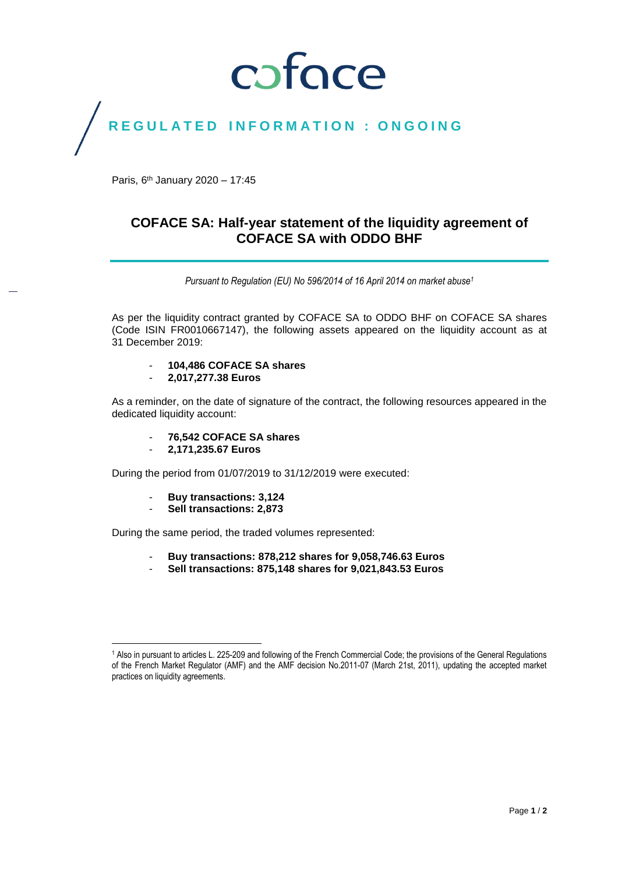## coface

### REGULATED INFORMATION : ONGOING

Paris, 6<sup>th</sup> January 2020 - 17:45

### **COFACE SA: Half-year statement of the liquidity agreement of COFACE SA with ODDO BHF**

*Pursuant to Regulation (EU) No 596/2014 of 16 April 2014 on market abuse<sup>1</sup>*

As per the liquidity contract granted by COFACE SA to ODDO BHF on COFACE SA shares (Code ISIN FR0010667147), the following assets appeared on the liquidity account as at 31 December 2019:

- **104,486 COFACE SA shares**
- **2,017,277.38 Euros**

As a reminder, on the date of signature of the contract, the following resources appeared in the dedicated liquidity account:

- **76,542 COFACE SA shares**
- **2,171,235.67 Euros**

During the period from 01/07/2019 to 31/12/2019 were executed:

- **Buy transactions: 3,124**
- **Sell transactions: 2,873**

During the same period, the traded volumes represented:

- **Buy transactions: 878,212 shares for 9,058,746.63 Euros**
- **Sell transactions: 875,148 shares for 9,021,843.53 Euros**

 $\overline{\phantom{a}}$ <sup>1</sup> Also in pursuant to articles L. 225-209 and following of the French Commercial Code; the provisions of the General Regulations of the French Market Regulator (AMF) and the AMF decision No.2011-07 (March 21st, 2011), updating the accepted market practices on liquidity agreements.